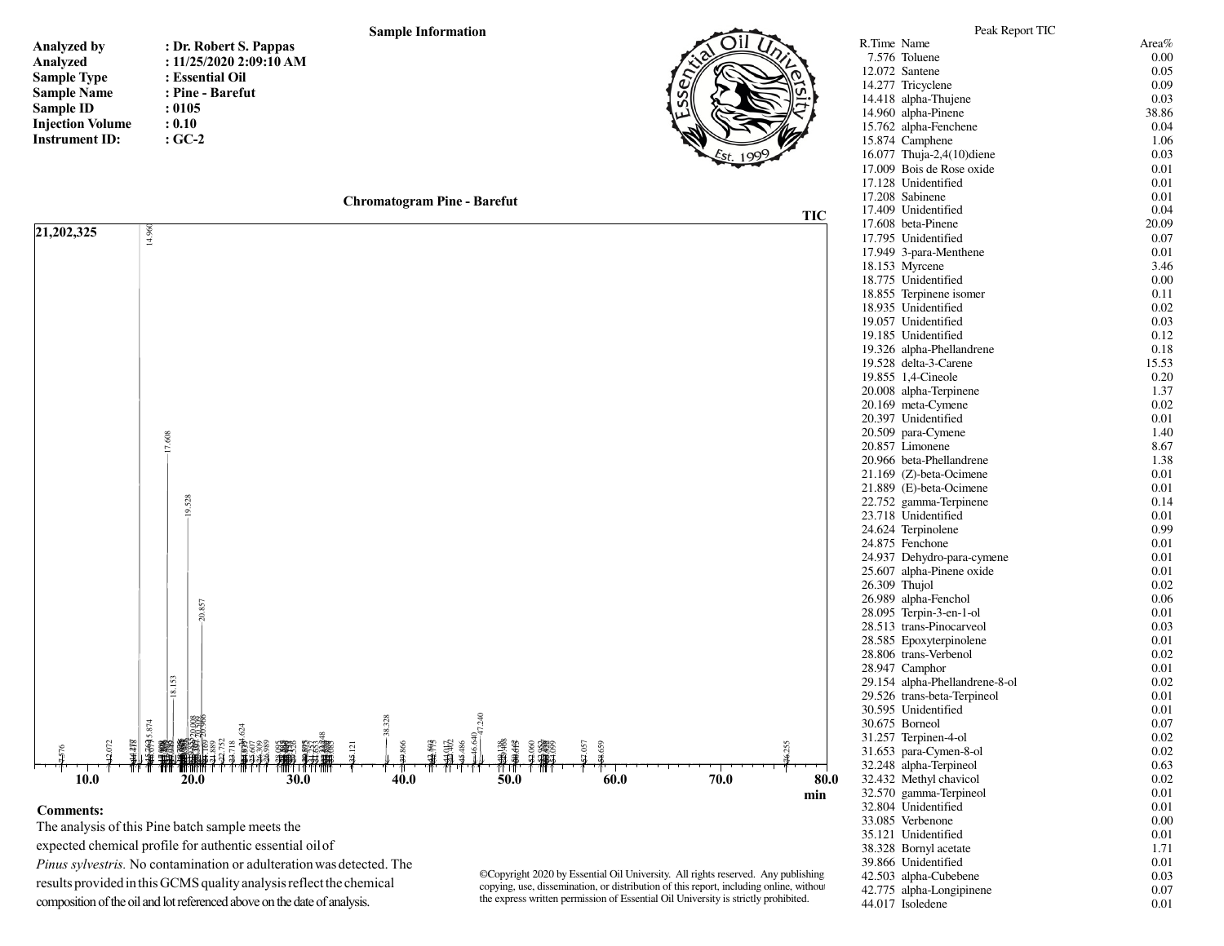## **Sample Information**

| <b>Analyzed by</b>      |              |
|-------------------------|--------------|
| Analyzed                | $\mathbf{C}$ |
| <b>Sample Type</b>      | : 1          |
| <b>Sample Name</b>      | :            |
| Sample ID               | : (          |
| <b>Injection Volume</b> | : (          |
| <b>Instrument ID:</b>   | : (          |

**: Dr. Robert S. Pappas : 11/25/2020 2:09:10 AM: Essential Oil : Pine - Barefut: 0105 : 0.10: GC-2**







## **Comments:**

 The analysis of this Pine batch sample meets the expected chemical profile for authentic essential oil of *Pinus sylvestris.* No contamination or adulteration was detected. The results provided in this GCMS quality analysis reflect the chemical composition of the oil and lot referenced above on the date of analysis.

©Copyright 2020 by Essential Oil University. All rights reserved. Any publishing, copying, use, dissemination, or distribution of this report, including online, without the express written permission of Essential Oil University is strictly prohibited.

| R.Time Name   |                                              | Area%     |
|---------------|----------------------------------------------|-----------|
|               | 7.576 Toluene                                | 0.00      |
|               | 12.072 Santene                               | 0.05      |
|               | 14.277 Tricyclene                            | 0.09      |
|               | 14.418 alpha-Thujene                         | 0.03      |
|               | 14.960 alpha-Pinene                          | 38.86     |
|               | 15.762 alpha-Fenchene                        | 0.04      |
|               | 15.874 Camphene                              | 1.06      |
|               | 16.077 Thuja-2,4(10)diene                    | 0.03      |
|               | 17.009 Bois de Rose oxide                    | 0.01      |
|               | 17.128 Unidentified                          | 0.01      |
|               | 17.208 Sabinene                              | 0.01      |
|               | 17.409 Unidentified                          | 0.04      |
|               | 17.608 beta-Pinene                           | 20.09     |
|               | 17.795 Unidentified                          | 0.07      |
|               | 17.949 3-para-Menthene                       | 0.01      |
|               | 18.153 Myrcene                               | 3.46      |
|               | 18.775 Unidentified                          | 0.00      |
|               | 18.855 Terpinene isomer                      | 0.11      |
|               | 18.935 Unidentified                          | 0.02      |
|               | 19.057 Unidentified                          | 0.03      |
|               | 19.185 Unidentified                          | 0.12      |
|               | 19.326 alpha-Phellandrene                    | 0.18      |
|               | 19.528 delta-3-Carene                        | 15.53     |
|               | 19.855 1,4-Cineole                           | 0.20      |
|               | 20.008 alpha-Terpinene                       | 1.37      |
|               | 20.169 meta-Cymene                           | 0.02      |
|               | 20.397 Unidentified                          | 0.01      |
|               | 20.509 para-Cymene                           | 1.40      |
|               | 20.857 Limonene                              | 8.67      |
|               | 20.966 beta-Phellandrene                     | 1.38      |
|               | 21.169 (Z)-beta-Ocimene                      | 0.01      |
|               | 21.889 (E)-beta-Ocimene                      | 0.01      |
|               | 22.752 gamma-Terpinene                       | 0.14      |
|               | 23.718 Unidentified                          | 0.01      |
|               | 24.624 Terpinolene                           | 0.99      |
|               | 24.875 Fenchone                              | 0.01      |
|               | 24.937 Dehydro-para-cymene                   | 0.01      |
|               | 25.607 alpha-Pinene oxide                    | 0.01      |
| 26.309 Thujol |                                              | 0.02      |
|               | 26.989 alpha-Fenchol                         | 0.06      |
|               | 28.095 Terpin-3-en-1-ol                      | 0.01      |
|               | 28.513 trans-Pinocarveol                     | 0.03      |
|               | 28.585 Epoxyterpinolene                      | 0.01      |
|               | 28.806 trans-Verbenol                        | 0.02      |
|               | 28.947 Camphor                               | 0.01      |
|               | 29.154 alpha-Phellandrene-8-ol               | 0.02      |
|               | 29.526 trans-beta-Terpineol                  | 0.01      |
|               | 30.595 Unidentified                          | 0.01      |
|               | 30.675 Borneol                               | 0.07      |
| 31.257        | Terpinen-4-ol                                | $_{0.02}$ |
|               | 31.653 para-Cymen-8-ol                       | 0.02      |
| 32.248        | alpha-Terpineol                              | 0.63      |
|               | 32.432 Methyl chavicol                       | 0.02      |
|               | 32.570 gamma-Terpineol                       | 0.01      |
|               | 32.804 Unidentified                          | 0.01      |
|               | 33.085 Verbenone                             | 0.00      |
|               | 35.121 Unidentified                          | 0.01      |
|               |                                              | 1.71      |
|               | 38.328 Bornyl acetate                        |           |
|               | 39.866 Unidentified<br>42.503 alpha-Cubebene | 0.01      |
|               |                                              | 0.03      |
| 42.775        | alpha-Longipinene<br>44.017 Isoledene        | 0.07      |
|               |                                              | 0.01      |

Peak Report TIC